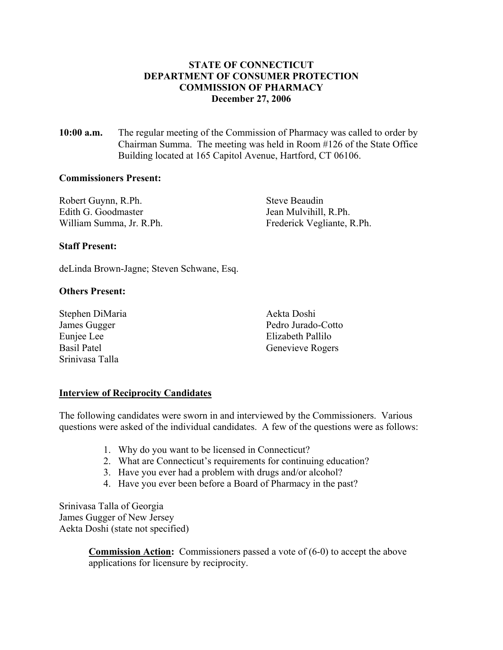# **STATE OF CONNECTICUT DEPARTMENT OF CONSUMER PROTECTION COMMISSION OF PHARMACY December 27, 2006**

**10:00 a.m.** The regular meeting of the Commission of Pharmacy was called to order by Chairman Summa. The meeting was held in Room #126 of the State Office Building located at 165 Capitol Avenue, Hartford, CT 06106.

#### **Commissioners Present:**

Robert Guynn, R.Ph. Steve Beaudin Edith G. Goodmaster Jean Mulvihill, R.Ph. William Summa, Jr. R.Ph. Frederick Vegliante, R.Ph.

### **Staff Present:**

deLinda Brown-Jagne; Steven Schwane, Esq.

### **Others Present:**

Stephen DiMaria Aekta Doshi Euniee Lee Elizabeth Pallilo Srinivasa Talla

James Gugger Pedro Jurado-Cotto Basil Patel Genevieve Rogers

### **Interview of Reciprocity Candidates**

The following candidates were sworn in and interviewed by the Commissioners. Various questions were asked of the individual candidates. A few of the questions were as follows:

- 1. Why do you want to be licensed in Connecticut?
- 2. What are Connecticut's requirements for continuing education?
- 3. Have you ever had a problem with drugs and/or alcohol?
- 4. Have you ever been before a Board of Pharmacy in the past?

Srinivasa Talla of Georgia James Gugger of New Jersey Aekta Doshi (state not specified)

> **Commission Action:** Commissioners passed a vote of (6-0) to accept the above applications for licensure by reciprocity.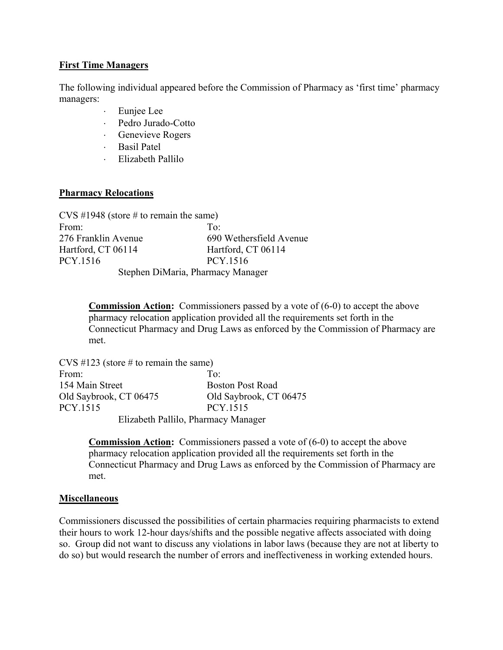## **First Time Managers**

The following individual appeared before the Commission of Pharmacy as 'first time' pharmacy managers:

- ⋅ Eunjee Lee
- ⋅ Pedro Jurado-Cotto
- ⋅ Genevieve Rogers
- ⋅ Basil Patel
- ⋅ Elizabeth Pallilo

## **Pharmacy Relocations**

| $CVS$ #1948 (store # to remain the same) |                         |  |
|------------------------------------------|-------------------------|--|
| From:                                    | $To^{\cdot}$            |  |
| 276 Franklin Avenue                      | 690 Wethersfield Avenue |  |
| Hartford, CT 06114                       | Hartford, CT 06114      |  |
| PCY.1516                                 | PCY 1516                |  |
| Stephen DiMaria, Pharmacy Manager        |                         |  |

**Commission Action:** Commissioners passed by a vote of (6-0) to accept the above pharmacy relocation application provided all the requirements set forth in the Connecticut Pharmacy and Drug Laws as enforced by the Commission of Pharmacy are met.

CVS  $\#123$  (store  $\#$  to remain the same) From: To: To: 154 Main Street Boston Post Road Old Saybrook, CT 06475 Old Saybrook, CT 06475 PCY.1515 PCY.1515 Elizabeth Pallilo, Pharmacy Manager

> **Commission Action:** Commissioners passed a vote of (6-0) to accept the above pharmacy relocation application provided all the requirements set forth in the Connecticut Pharmacy and Drug Laws as enforced by the Commission of Pharmacy are met.

### **Miscellaneous**

Commissioners discussed the possibilities of certain pharmacies requiring pharmacists to extend their hours to work 12-hour days/shifts and the possible negative affects associated with doing so. Group did not want to discuss any violations in labor laws (because they are not at liberty to do so) but would research the number of errors and ineffectiveness in working extended hours.